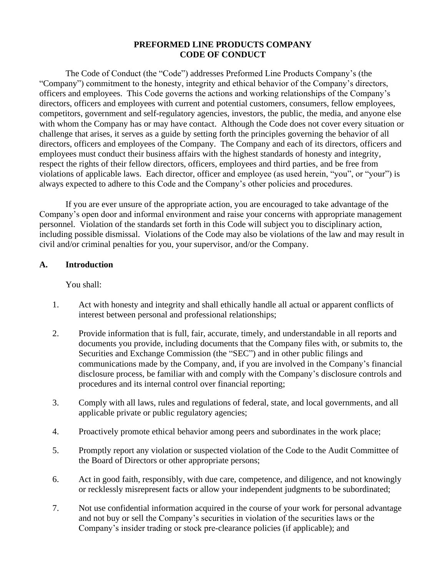### **PREFORMED LINE PRODUCTS COMPANY CODE OF CONDUCT**

The Code of Conduct (the "Code") addresses Preformed Line Products Company's (the "Company") commitment to the honesty, integrity and ethical behavior of the Company's directors, officers and employees. This Code governs the actions and working relationships of the Company's directors, officers and employees with current and potential customers, consumers, fellow employees, competitors, government and self-regulatory agencies, investors, the public, the media, and anyone else with whom the Company has or may have contact. Although the Code does not cover every situation or challenge that arises, it serves as a guide by setting forth the principles governing the behavior of all directors, officers and employees of the Company. The Company and each of its directors, officers and employees must conduct their business affairs with the highest standards of honesty and integrity, respect the rights of their fellow directors, officers, employees and third parties, and be free from violations of applicable laws. Each director, officer and employee (as used herein, "you", or "your") is always expected to adhere to this Code and the Company's other policies and procedures.

If you are ever unsure of the appropriate action, you are encouraged to take advantage of the Company's open door and informal environment and raise your concerns with appropriate management personnel. Violation of the standards set forth in this Code will subject you to disciplinary action, including possible dismissal. Violations of the Code may also be violations of the law and may result in civil and/or criminal penalties for you, your supervisor, and/or the Company.

#### **A. Introduction**

You shall:

- 1. Act with honesty and integrity and shall ethically handle all actual or apparent conflicts of interest between personal and professional relationships;
- 2. Provide information that is full, fair, accurate, timely, and understandable in all reports and documents you provide, including documents that the Company files with, or submits to, the Securities and Exchange Commission (the "SEC") and in other public filings and communications made by the Company, and, if you are involved in the Company's financial disclosure process, be familiar with and comply with the Company's disclosure controls and procedures and its internal control over financial reporting;
- 3. Comply with all laws, rules and regulations of federal, state, and local governments, and all applicable private or public regulatory agencies;
- 4. Proactively promote ethical behavior among peers and subordinates in the work place;
- 5. Promptly report any violation or suspected violation of the Code to the Audit Committee of the Board of Directors or other appropriate persons;
- 6. Act in good faith, responsibly, with due care, competence, and diligence, and not knowingly or recklessly misrepresent facts or allow your independent judgments to be subordinated;
- 7. Not use confidential information acquired in the course of your work for personal advantage and not buy or sell the Company's securities in violation of the securities laws or the Company's insider trading or stock pre-clearance policies (if applicable); and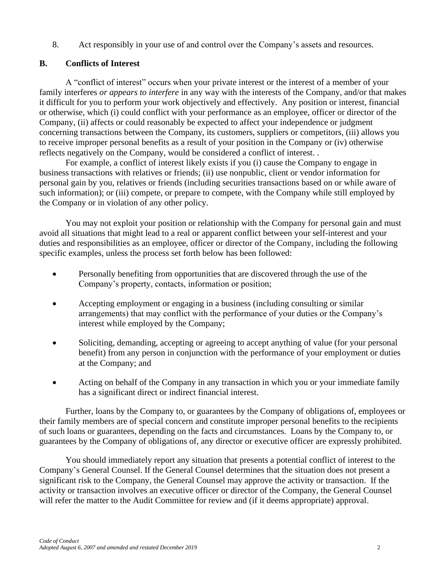8. Act responsibly in your use of and control over the Company's assets and resources.

## **B. Conflicts of Interest**

A "conflict of interest" occurs when your private interest or the interest of a member of your family interferes *or appears to interfere* in any way with the interests of the Company, and/or that makes it difficult for you to perform your work objectively and effectively. Any position or interest, financial or otherwise, which (i) could conflict with your performance as an employee, officer or director of the Company, (ii) affects or could reasonably be expected to affect your independence or judgment concerning transactions between the Company, its customers, suppliers or competitors, (iii) allows you to receive improper personal benefits as a result of your position in the Company or (iv) otherwise reflects negatively on the Company, would be considered a conflict of interest. .

For example, a conflict of interest likely exists if you (i) cause the Company to engage in business transactions with relatives or friends; (ii) use nonpublic, client or vendor information for personal gain by you, relatives or friends (including securities transactions based on or while aware of such information); or (iii) compete, or prepare to compete, with the Company while still employed by the Company or in violation of any other policy.

You may not exploit your position or relationship with the Company for personal gain and must avoid all situations that might lead to a real or apparent conflict between your self-interest and your duties and responsibilities as an employee, officer or director of the Company, including the following specific examples, unless the process set forth below has been followed:

- Personally benefiting from opportunities that are discovered through the use of the Company's property, contacts, information or position;
- Accepting employment or engaging in a business (including consulting or similar arrangements) that may conflict with the performance of your duties or the Company's interest while employed by the Company;
- Soliciting, demanding, accepting or agreeing to accept anything of value (for your personal benefit) from any person in conjunction with the performance of your employment or duties at the Company; and
- Acting on behalf of the Company in any transaction in which you or your immediate family has a significant direct or indirect financial interest.

Further, loans by the Company to, or guarantees by the Company of obligations of, employees or their family members are of special concern and constitute improper personal benefits to the recipients of such loans or guarantees, depending on the facts and circumstances. Loans by the Company to, or guarantees by the Company of obligations of, any director or executive officer are expressly prohibited.

You should immediately report any situation that presents a potential conflict of interest to the Company's General Counsel. If the General Counsel determines that the situation does not present a significant risk to the Company, the General Counsel may approve the activity or transaction. If the activity or transaction involves an executive officer or director of the Company, the General Counsel will refer the matter to the Audit Committee for review and (if it deems appropriate) approval.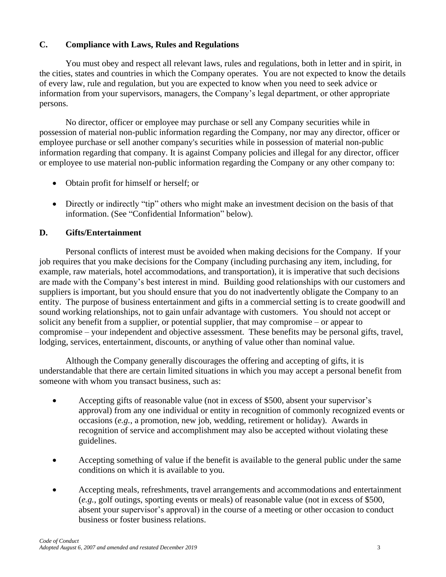# **C. Compliance with Laws, Rules and Regulations**

You must obey and respect all relevant laws, rules and regulations, both in letter and in spirit, in the cities, states and countries in which the Company operates. You are not expected to know the details of every law, rule and regulation, but you are expected to know when you need to seek advice or information from your supervisors, managers, the Company's legal department, or other appropriate persons.

No director, officer or employee may purchase or sell any Company securities while in possession of material non-public information regarding the Company, nor may any director, officer or employee purchase or sell another company's securities while in possession of material non-public information regarding that company. It is against Company policies and illegal for any director, officer or employee to use material non-public information regarding the Company or any other company to:

- Obtain profit for himself or herself; or
- Directly or indirectly "tip" others who might make an investment decision on the basis of that information. (See "Confidential Information" below).

## **D. Gifts/Entertainment**

Personal conflicts of interest must be avoided when making decisions for the Company. If your job requires that you make decisions for the Company (including purchasing any item, including, for example, raw materials, hotel accommodations, and transportation), it is imperative that such decisions are made with the Company's best interest in mind. Building good relationships with our customers and suppliers is important, but you should ensure that you do not inadvertently obligate the Company to an entity. The purpose of business entertainment and gifts in a commercial setting is to create goodwill and sound working relationships, not to gain unfair advantage with customers. You should not accept or solicit any benefit from a supplier, or potential supplier, that may compromise – or appear to compromise – your independent and objective assessment. These benefits may be personal gifts, travel, lodging, services, entertainment, discounts, or anything of value other than nominal value.

Although the Company generally discourages the offering and accepting of gifts, it is understandable that there are certain limited situations in which you may accept a personal benefit from someone with whom you transact business, such as:

- Accepting gifts of reasonable value (not in excess of \$500, absent your supervisor's approval) from any one individual or entity in recognition of commonly recognized events or occasions (*e.g.*, a promotion, new job, wedding, retirement or holiday). Awards in recognition of service and accomplishment may also be accepted without violating these guidelines.
- Accepting something of value if the benefit is available to the general public under the same conditions on which it is available to you.
- Accepting meals, refreshments, travel arrangements and accommodations and entertainment (*e.g.*, golf outings, sporting events or meals) of reasonable value (not in excess of \$500, absent your supervisor's approval) in the course of a meeting or other occasion to conduct business or foster business relations.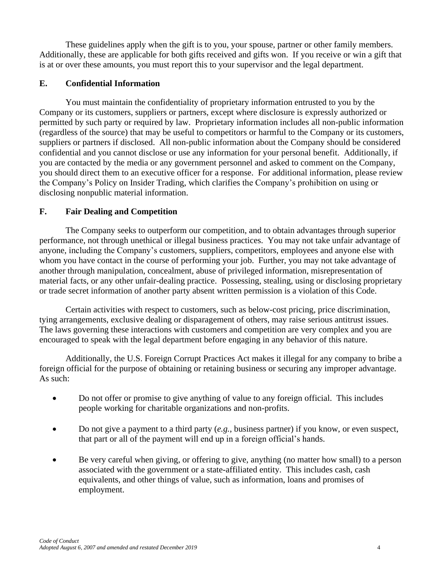These guidelines apply when the gift is to you, your spouse, partner or other family members. Additionally, these are applicable for both gifts received and gifts won. If you receive or win a gift that is at or over these amounts, you must report this to your supervisor and the legal department.

## **E. Confidential Information**

You must maintain the confidentiality of proprietary information entrusted to you by the Company or its customers, suppliers or partners, except where disclosure is expressly authorized or permitted by such party or required by law. Proprietary information includes all non-public information (regardless of the source) that may be useful to competitors or harmful to the Company or its customers, suppliers or partners if disclosed. All non-public information about the Company should be considered confidential and you cannot disclose or use any information for your personal benefit. Additionally, if you are contacted by the media or any government personnel and asked to comment on the Company, you should direct them to an executive officer for a response. For additional information, please review the Company's Policy on Insider Trading, which clarifies the Company's prohibition on using or disclosing nonpublic material information.

# **F. Fair Dealing and Competition**

The Company seeks to outperform our competition, and to obtain advantages through superior performance, not through unethical or illegal business practices. You may not take unfair advantage of anyone, including the Company's customers, suppliers, competitors, employees and anyone else with whom you have contact in the course of performing your job. Further, you may not take advantage of another through manipulation, concealment, abuse of privileged information, misrepresentation of material facts, or any other unfair-dealing practice. Possessing, stealing, using or disclosing proprietary or trade secret information of another party absent written permission is a violation of this Code.

Certain activities with respect to customers, such as below-cost pricing, price discrimination, tying arrangements, exclusive dealing or disparagement of others, may raise serious antitrust issues. The laws governing these interactions with customers and competition are very complex and you are encouraged to speak with the legal department before engaging in any behavior of this nature.

Additionally, the U.S. Foreign Corrupt Practices Act makes it illegal for any company to bribe a foreign official for the purpose of obtaining or retaining business or securing any improper advantage. As such:

- Do not offer or promise to give anything of value to any foreign official. This includes people working for charitable organizations and non-profits.
- Do not give a payment to a third party (*e.g.*, business partner) if you know, or even suspect, that part or all of the payment will end up in a foreign official's hands.
- Be very careful when giving, or offering to give, anything (no matter how small) to a person associated with the government or a state-affiliated entity. This includes cash, cash equivalents, and other things of value, such as information, loans and promises of employment.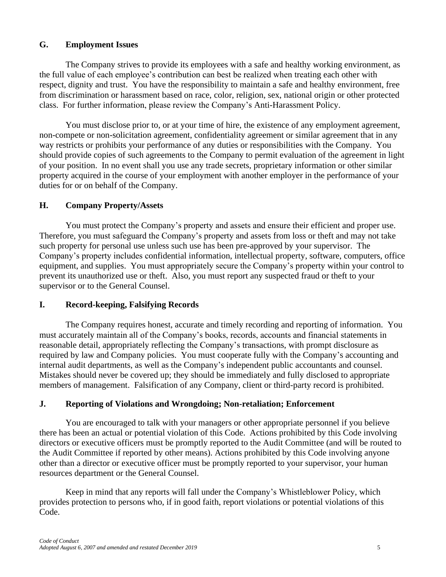## **G. Employment Issues**

The Company strives to provide its employees with a safe and healthy working environment, as the full value of each employee's contribution can best be realized when treating each other with respect, dignity and trust. You have the responsibility to maintain a safe and healthy environment, free from discrimination or harassment based on race, color, religion, sex, national origin or other protected class. For further information, please review the Company's Anti-Harassment Policy.

You must disclose prior to, or at your time of hire, the existence of any employment agreement, non-compete or non-solicitation agreement, confidentiality agreement or similar agreement that in any way restricts or prohibits your performance of any duties or responsibilities with the Company. You should provide copies of such agreements to the Company to permit evaluation of the agreement in light of your position. In no event shall you use any trade secrets, proprietary information or other similar property acquired in the course of your employment with another employer in the performance of your duties for or on behalf of the Company.

### **H. Company Property/Assets**

You must protect the Company's property and assets and ensure their efficient and proper use. Therefore, you must safeguard the Company's property and assets from loss or theft and may not take such property for personal use unless such use has been pre-approved by your supervisor. The Company's property includes confidential information, intellectual property, software, computers, office equipment, and supplies. You must appropriately secure the Company's property within your control to prevent its unauthorized use or theft. Also, you must report any suspected fraud or theft to your supervisor or to the General Counsel.

## **I. Record-keeping, Falsifying Records**

The Company requires honest, accurate and timely recording and reporting of information. You must accurately maintain all of the Company's books, records, accounts and financial statements in reasonable detail, appropriately reflecting the Company's transactions, with prompt disclosure as required by law and Company policies. You must cooperate fully with the Company's accounting and internal audit departments, as well as the Company's independent public accountants and counsel. Mistakes should never be covered up; they should be immediately and fully disclosed to appropriate members of management. Falsification of any Company, client or third-party record is prohibited.

## **J. Reporting of Violations and Wrongdoing; Non-retaliation; Enforcement**

You are encouraged to talk with your managers or other appropriate personnel if you believe there has been an actual or potential violation of this Code. Actions prohibited by this Code involving directors or executive officers must be promptly reported to the Audit Committee (and will be routed to the Audit Committee if reported by other means). Actions prohibited by this Code involving anyone other than a director or executive officer must be promptly reported to your supervisor, your human resources department or the General Counsel.

Keep in mind that any reports will fall under the Company's Whistleblower Policy, which provides protection to persons who, if in good faith, report violations or potential violations of this Code.